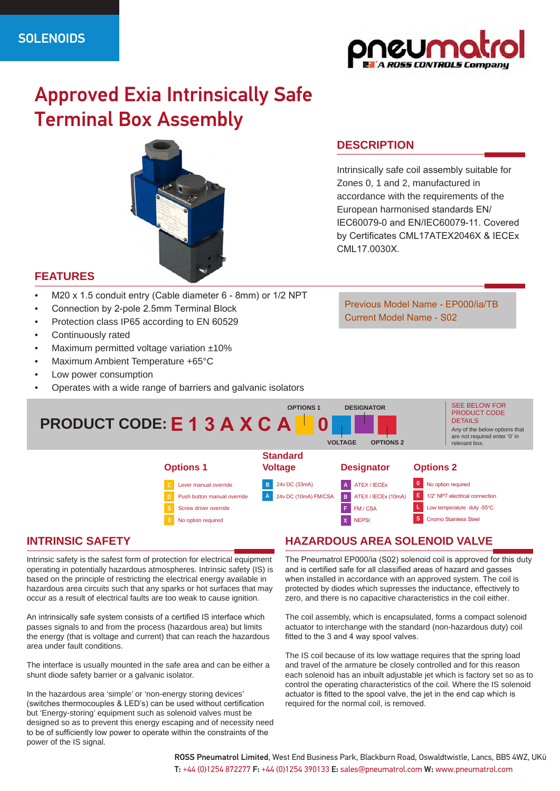

# Approved Exia Intrinsically Safe Terminal Box Assembly



### **FEATURES**

- M20 x 1.5 conduit entry (Cable diameter 6 8mm) or 1/2 NPT
- Connection by 2-pole 2.5mm Terminal Block
- Protection class IP65 according to EN 60529
- Continuously rated
- Maximum permitted voltage variation ±10%
- Maximum Ambient Temperature +65°C
- Low power consumption
- Operates with a wide range of barriers and galvanic isolators

## **DESCRIPTION**

Intrinsically safe coil assembly suitable for Zones 0, 1 and 2, manufactured in accordance with the requirements of the European harmonised standards EN/ IEC60079-0 and EN/IEC60079-11. Covered by Certificates CML17ATEX2046X & IECEx CML17.0030X.

Previous Model Name - EP000/ia/TB Current Model Name - S02



# **INTRINSIC SAFETY**

Intrinsic safety is the safest form of protection for electrical equipment operating in potentially hazardous atmospheres. Intrinsic safety (IS) is based on the principle of restricting the electrical energy available in hazardous area circuits such that any sparks or hot surfaces that may occur as a result of electrical faults are too weak to cause ignition.

An intrinsically safe system consists of a certified IS interface which passes signals to and from the process (hazardous area) but limits the energy (that is voltage and current) that can reach the hazardous area under fault conditions.

The interface is usually mounted in the safe area and can be either a shunt diode safety barrier or a galvanic isolator.

In the hazardous area 'simple' or 'non-energy storing devices' (switches thermocouples & LED's) can be used without certification but 'Energy-storing' equipment such as solenoid valves must be designed so as to prevent this energy escaping and of necessity need to be of sufficiently low power to operate within the constraints of the power of the IS signal.

# **HAZARDOUS AREA SOLENOID VALVE**

The Pneumatrol EP000/ia (S02) solenoid coil is approved for this duty and is certified safe for all classified areas of hazard and gasses when installed in accordance with an approved system. The coil is protected by diodes which supresses the inductance, effectively to zero, and there is no capacitive characteristics in the coil either.

The coil assembly, which is encapsulated, forms a compact solenoid actuator to interchange with the standard (non-hazardous duty) coil fitted to the 3 and 4 way spool valves.

The IS coil because of its low wattage requires that the spring load and travel of the armature be closely controlled and for this reason each solenoid has an inbuilt adjustable jet which is factory set so as to control the operating characteristics of the coil. Where the IS solenoid actuator is fitted to the spool valve, the jet in the end cap which is required for the normal coil, is removed.

ROSS Pneumatrol Limited, West End Business Park, Blackburn Road, Oswaldtwistle, Lancs, BB5 4WZ, UKϋ T: +44 (0)1254 872277 F: +44 (0)1254 390133 E: sales@pneumatrol.com W: www.pneumatrol.com